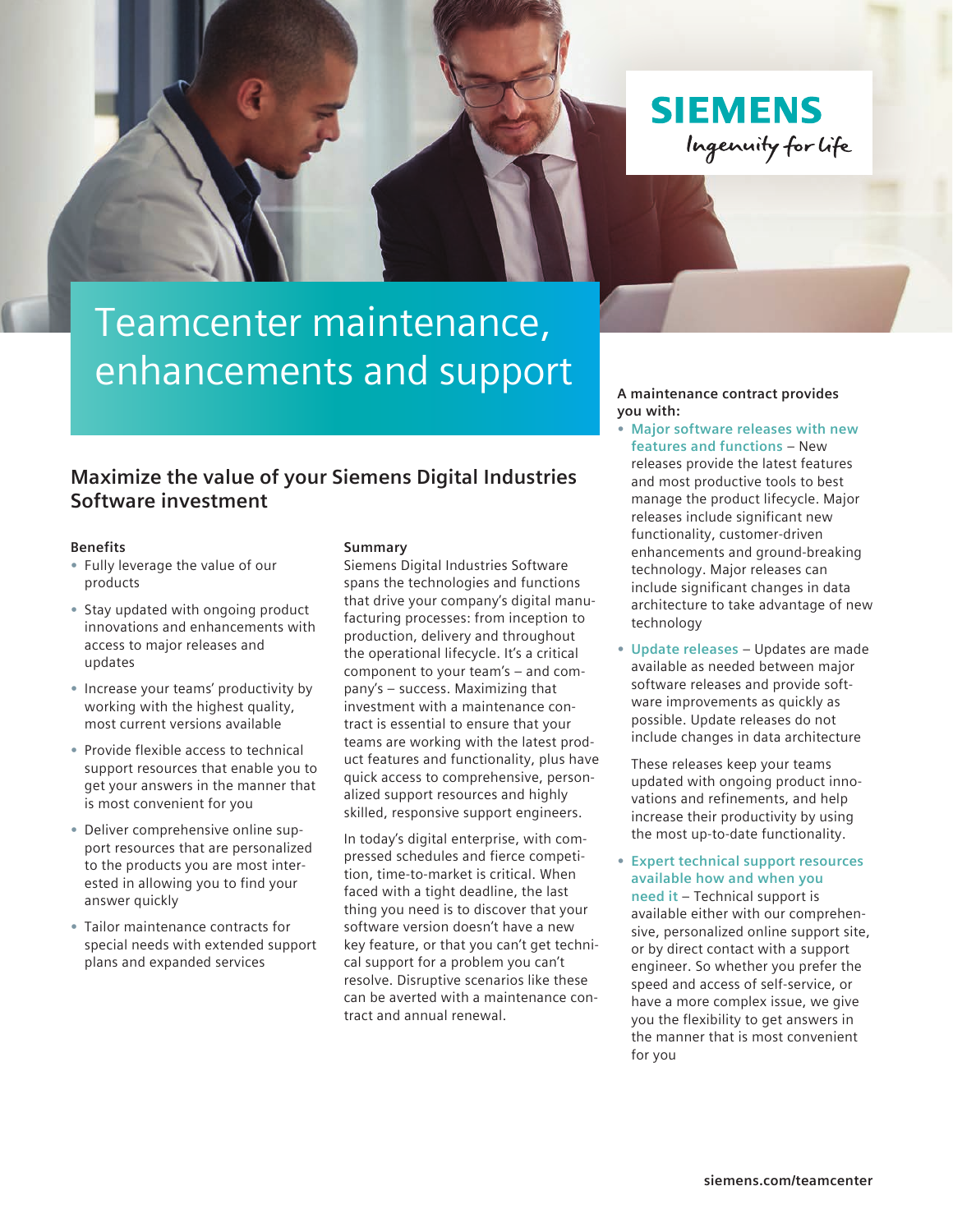



# Teamcenter maintenance, enhancements and support

### **Maximize the value of your Siemens Digital Industries Software investment**

#### **Benefits**

- **•** Fully leverage the value of our products
- **•** Stay updated with ongoing product innovations and enhancements with access to major releases and updates
- **•** Increase your teams' productivity by working with the highest quality, most current versions available
- **•** Provide flexible access to technical support resources that enable you to get your answers in the manner that is most convenient for you
- **•** Deliver comprehensive online support resources that are personalized to the products you are most interested in allowing you to find your answer quickly
- **•** Tailor maintenance contracts for special needs with extended support plans and expanded services

#### **Summary**

Siemens Digital Industries Software spans the technologies and functions that drive your company's digital manufacturing processes: from inception to production, delivery and throughout the operational lifecycle. It's a critical component to your team's – and company's – success. Maximizing that investment with a maintenance contract is essential to ensure that your teams are working with the latest product features and functionality, plus have quick access to comprehensive, personalized support resources and highly skilled, responsive support engineers.

In today's digital enterprise, with compressed schedules and fierce competition, time-to-market is critical. When faced with a tight deadline, the last thing you need is to discover that your software version doesn't have a new key feature, or that you can't get technical support for a problem you can't resolve. Disruptive scenarios like these can be averted with a maintenance contract and annual renewal.

#### **A maintenance contract provides you with:**

- **• Major software releases with new features and functions** – New releases provide the latest features and most productive tools to best manage the product lifecycle. Major releases include significant new functionality, customer-driven enhancements and ground-breaking technology. Major releases can include significant changes in data architecture to take advantage of new technology
- **• Update releases** Updates are made available as needed between major software releases and provide software improvements as quickly as possible. Update releases do not include changes in data architecture

These releases keep your teams updated with ongoing product innovations and refinements, and help increase their productivity by using the most up-to-date functionality.

**• Expert technical support resources available how and when you need it** – Technical support is

available either with our comprehensive, personalized online support site, or by direct contact with a support engineer. So whether you prefer the speed and access of self-service, or have a more complex issue, we give you the flexibility to get answers in the manner that is most convenient for you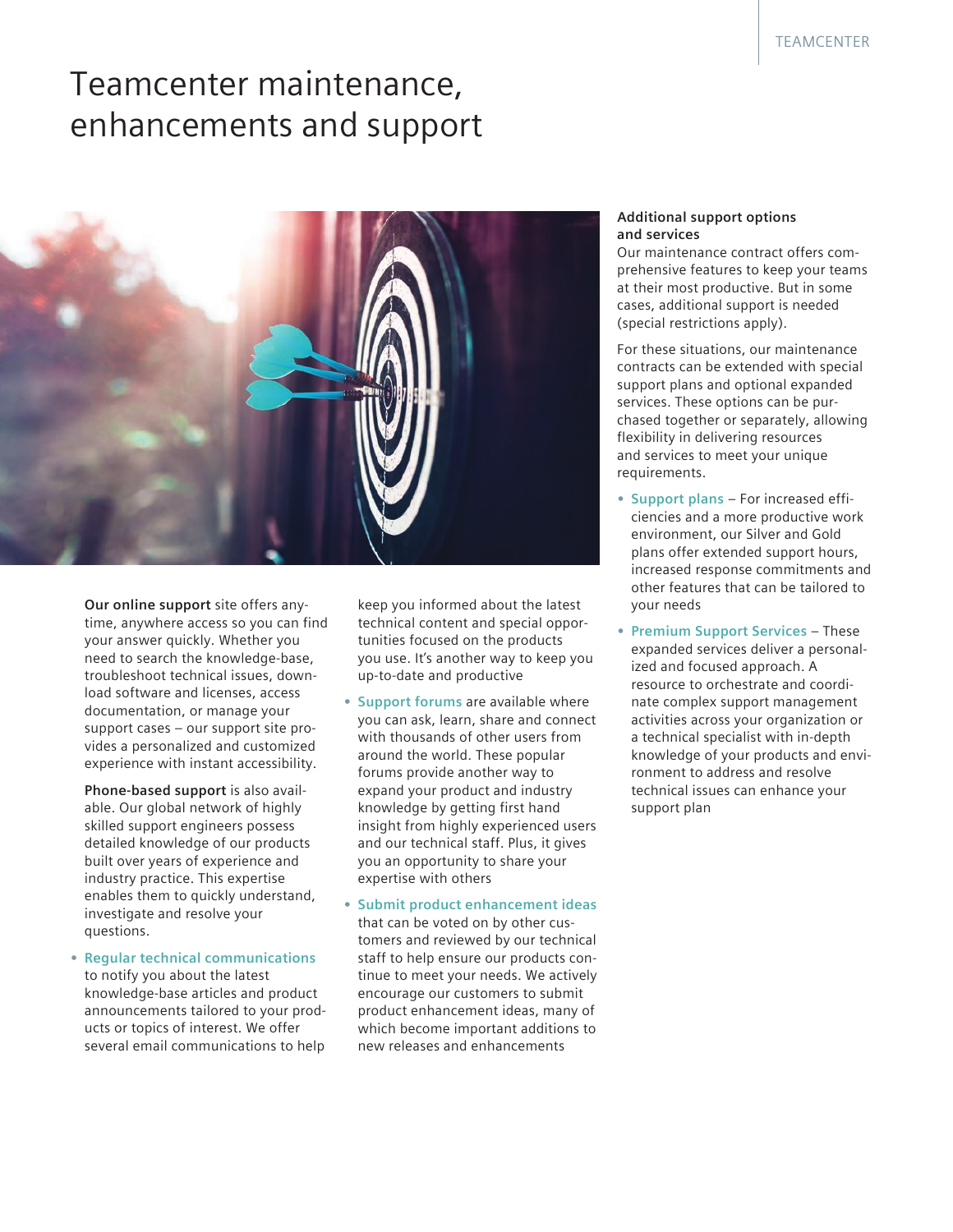## Teamcenter maintenance, enhancements and support



**Our online support** site offers anytime, anywhere access so you can find your answer quickly. Whether you need to search the knowledge-base, troubleshoot technical issues, download software and licenses, access documentation, or manage your support cases – our support site provides a personalized and customized experience with instant accessibility.

**Phone-based support** is also available. Our global network of highly skilled support engineers possess detailed knowledge of our products built over years of experience and industry practice. This expertise enables them to quickly understand, investigate and resolve your questions.

**• Regular technical communications** to notify you about the latest knowledge-base articles and product announcements tailored to your products or topics of interest. We offer several email communications to help

keep you informed about the latest technical content and special opportunities focused on the products you use. It's another way to keep you up-to-date and productive

- **• Support forums** are available where you can ask, learn, share and connect with thousands of other users from around the world. These popular forums provide another way to expand your product and industry knowledge by getting first hand insight from highly experienced users and our technical staff. Plus, it gives you an opportunity to share your expertise with others
- **• Submit product enhancement ideas**  that can be voted on by other customers and reviewed by our technical staff to help ensure our products continue to meet your needs. We actively encourage our customers to submit product enhancement ideas, many of which become important additions to new releases and enhancements

#### **Additional support options and services**

Our maintenance contract offers comprehensive features to keep your teams at their most productive. But in some cases, additional support is needed (special restrictions apply).

For these situations, our maintenance contracts can be extended with special support plans and optional expanded services. These options can be purchased together or separately, allowing flexibility in delivering resources and services to meet your unique requirements.

- **• Support plans** For increased efficiencies and a more productive work environment, our Silver and Gold plans offer extended support hours, increased response commitments and other features that can be tailored to your needs
- **• Premium Support Services** These expanded services deliver a personalized and focused approach. A resource to orchestrate and coordinate complex support management activities across your organization or a technical specialist with in-depth knowledge of your products and environment to address and resolve technical issues can enhance your support plan